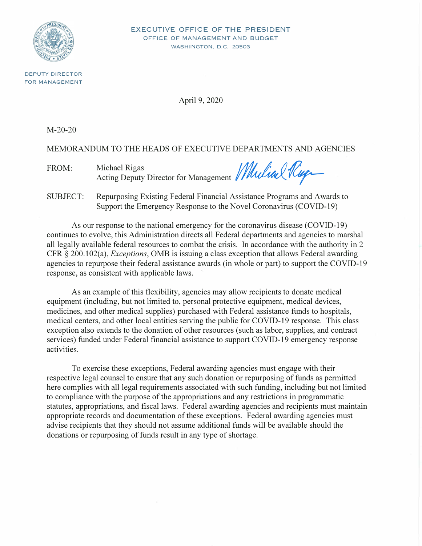

**EXECUTIVE OFFICE OF THE PRESIDENT OFFICE OF MANAGEMENT AND BUDGET WASHINGTON, D.C. 20503** 

**DEPUTY DIRECTOR FOR MANAGEMENT** 

April 9, 2020

M-20-20

MEMORANDUM TO THE HEADS OF EXECUTIVE DEPARTMENTS AND AGENCIES

FROM: Michael Rigas *Acting Deputy Director for Management Mulial Riga* 

SUBJECT: Repurposing Existing Federal Financial Assistance Programs and Awards to Support the Emergency Response to the Novel Coronavirus (COVID-19)

As our response to the national emergency for the coronavirus disease (COVID-19) continues to evolve, this Administration directs all Federal departments and agencies to marshal all legally available federal resources to combat the crisis. In accordance with the authority in 2 CFR § 200.102(a), *Exceptions,* 0MB is issuing a class exception that allows Federal awarding agencies to repurpose their federal assistance awards (in whole or part) to support the COVID-19 response, as consistent with applicable laws.

As an example of this flexibility, agencies may allow recipients to donate medical equipment (including, but not limited to, personal protective equipment, medical devices, medicines, and other medical supplies) purchased with Federal assistance funds to hospitals, medical centers, and other local entities serving the public for COVID-19 response. This class exception also extends to the donation of other resources (such as labor, supplies, and contract services) funded under Federal financial assistance to support COVID-19 emergency response activities.

To exercise these exceptions, Federal awarding agencies must engage with their respective legal counsel to ensure that any such donation or repurposing of funds as permitted here complies with all legal requirements associated with such funding, including but not limited to compliance with the purpose of the appropriations and any restrictions in programmatic statutes, appropriations, and fiscal laws. Federal awarding agencies and recipients must maintain appropriate records and documentation of these exceptions. Federal awarding agencies must advise recipients that they should not assume additional funds will be available should the donations or repurposing of funds result in any type of shortage.